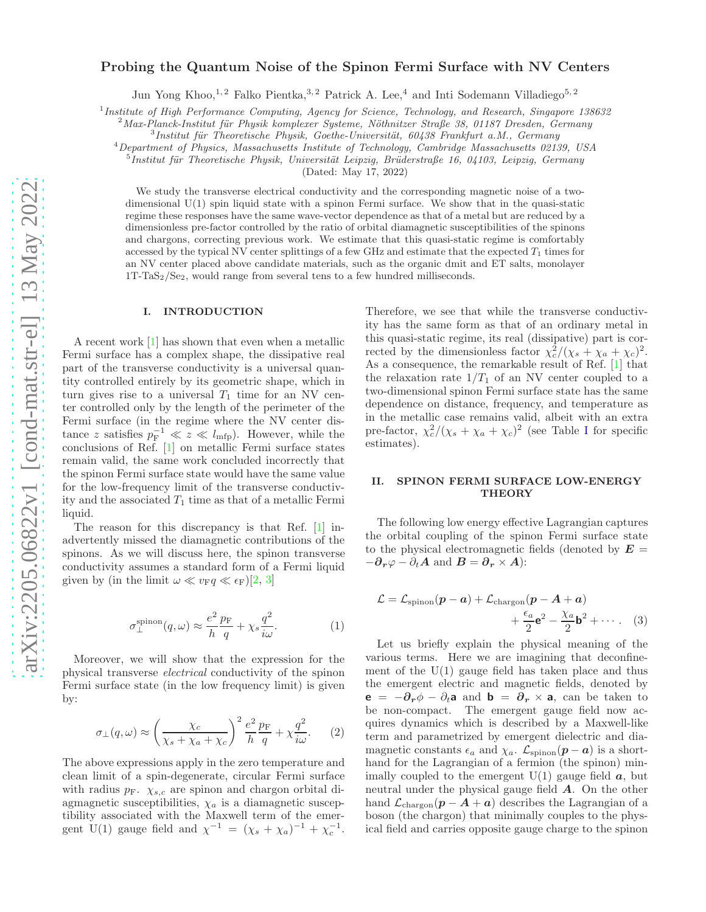# Probing the Quantum Noise of the Spinon Fermi Surface with NV Centers

Jun Yong Khoo,<sup>1, 2</sup> Falko Pientka,<sup>3, 2</sup> Patrick A. Lee,<sup>4</sup> and Inti Sodemann Villadiego<sup>5, 2</sup>

1 *Institute of High Performance Computing, Agency for Science, Technology, and Research, Singapore 138632*

<sup>2</sup> Max-Planck-Institut für Physik komplexer Systeme, Nöthnitzer Straße 38, 01187 Dresden, Germany

<sup>3</sup> Institut für Theoretische Physik, Goethe-Universität, 60438 Frankfurt a.M., Germany

<sup>4</sup>*Department of Physics, Massachusetts Institute of Technology, Cambridge Massachusetts 02139, USA*

<sup>5</sup> Institut für Theoretische Physik, Universität Leipzig, Brüderstraße 16, 04103, Leipzig, Germany

(Dated: May 17, 2022)

We study the transverse electrical conductivity and the corresponding magnetic noise of a twodimensional  $U(1)$  spin liquid state with a spinon Fermi surface. We show that in the quasi-static regime these responses have the same wave-vector dependence as that of a metal but are reduced by a dimensionless pre-factor controlled by the ratio of orbital diamagnetic susceptibilities of the spinons and chargons, correcting previous work. We estimate that this quasi-static regime is comfortably accessed by the typical NV center splittings of a few GHz and estimate that the expected  $T_1$  times for an NV center placed above candidate materials, such as the organic dmit and ET salts, monolayer  $1T-TaS_2/Se_2$ , would range from several tens to a few hundred milliseconds.

## I. INTRODUCTION

A recent work [\[1](#page-4-0)] has shown that even when a metallic Fermi surface has a complex shape, the dissipative real part of the transverse conductivity is a universal quantity controlled entirely by its geometric shape, which in turn gives rise to a universal  $T_1$  time for an NV center controlled only by the length of the perimeter of the Fermi surface (in the regime where the NV center distance z satisfies  $p_{\rm F}^{-1} \ll z \ll l_{\rm mfp}$ ). However, while the conclusions of Ref. [\[1](#page-4-0)] on metallic Fermi surface states remain valid, the same work concluded incorrectly that the spinon Fermi surface state would have the same value for the low-frequency limit of the transverse conductivity and the associated  $T_1$  time as that of a metallic Fermi liquid.

The reason for this discrepancy is that Ref. [\[1\]](#page-4-0) inadvertently missed the diamagnetic contributions of the spinons. As we will discuss here, the spinon transverse conductivity assumes a standard form of a Fermi liquid given by (in the limit  $\omega \ll v_{\rm F} q \ll \epsilon_{\rm F}$ )[\[2](#page-4-1), [3\]](#page-4-2)

<span id="page-0-1"></span>
$$
\sigma_{\perp}^{\text{spinon}}(q,\omega) \approx \frac{e^2}{h} \frac{p_{\text{F}}}{q} + \chi_s \frac{q^2}{i\omega}.
$$
 (1)

Moreover, we will show that the expression for the physical transverse electrical conductivity of the spinon Fermi surface state (in the low frequency limit) is given by:

<span id="page-0-2"></span>
$$
\sigma_{\perp}(q,\omega) \approx \left(\frac{\chi_c}{\chi_s + \chi_a + \chi_c}\right)^2 \frac{e^2}{h} \frac{p_{\rm F}}{q} + \chi \frac{q^2}{i\omega}.\tag{2}
$$

The above expressions apply in the zero temperature and clean limit of a spin-degenerate, circular Fermi surface with radius  $p_F$ .  $\chi_{s,c}$  are spinon and chargon orbital diagmagnetic susceptibilities,  $\chi_a$  is a diamagnetic susceptibility associated with the Maxwell term of the emergent U(1) gauge field and  $\chi^{-1} = (\chi_s + \chi_a)^{-1} + \chi_c^{-1}$ . Therefore, we see that while the transverse conductivity has the same form as that of an ordinary metal in this quasi-static regime, its real (dissipative) part is corrected by the dimensionless factor  $\chi_c^2/(\chi_s + \chi_a + \chi_c)^2$ . As a consequence, the remarkable result of Ref. [\[1](#page-4-0)] that the relaxation rate  $1/T_1$  of an NV center coupled to a two-dimensional spinon Fermi surface state has the same dependence on distance, frequency, and temperature as in the metallic case remains valid, albeit with an extra pre-factor,  $\chi_c^2/(\chi_s + \chi_a + \chi_c)^2$  (see Table [I](#page-3-0) for specific estimates).

## II. SPINON FERMI SURFACE LOW-ENERGY **THEORY**

The following low energy effective Lagrangian captures the orbital coupling of the spinon Fermi surface state to the physical electromagnetic fields (denoted by  $E =$  $-\partial_r \varphi - \partial_t A$  and  $B = \partial_r \times A$ :

<span id="page-0-0"></span>
$$
\mathcal{L} = \mathcal{L}_{\text{spinon}}(\boldsymbol{p} - \boldsymbol{a}) + \mathcal{L}_{\text{chargon}}(\boldsymbol{p} - \boldsymbol{A} + \boldsymbol{a})
$$

$$
+ \frac{\epsilon_a}{2} \mathbf{e}^2 - \frac{\chi_a}{2} \mathbf{b}^2 + \cdots. \quad (3)
$$

Let us briefly explain the physical meaning of the various terms. Here we are imagining that deconfinement of the  $U(1)$  gauge field has taken place and thus the emergent electric and magnetic fields, denoted by  $\mathbf{e} = -\partial_r \phi - \partial_t \mathbf{a}$  and  $\mathbf{b} = \partial_r \times \mathbf{a}$ , can be taken to be non-compact. The emergent gauge field now acquires dynamics which is described by a Maxwell-like term and parametrized by emergent dielectric and diamagnetic constants  $\epsilon_a$  and  $\chi_a$ .  $\mathcal{L}_{\text{spinon}}(\mathbf{p} - \mathbf{a})$  is a shorthand for the Lagrangian of a fermion (the spinon) minimally coupled to the emergent  $U(1)$  gauge field  $\boldsymbol{a}$ , but neutral under the physical gauge field A. On the other hand  $\mathcal{L}_{\text{chargon}}(\boldsymbol{p} - \boldsymbol{A} + \boldsymbol{a})$  describes the Lagrangian of a boson (the chargon) that minimally couples to the physical field and carries opposite gauge charge to the spinon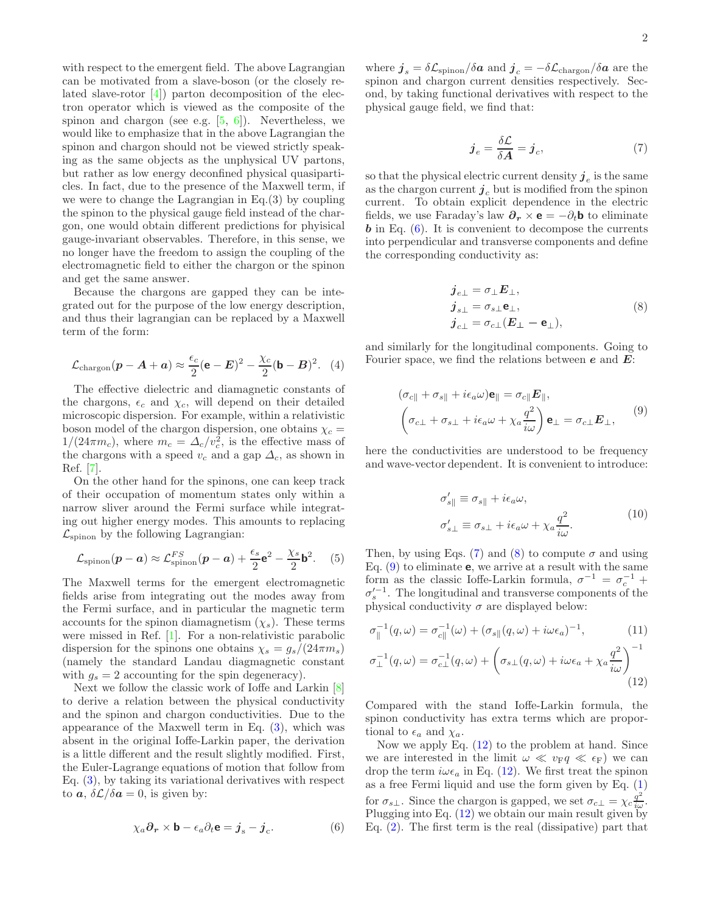with respect to the emergent field. The above Lagrangian can be motivated from a slave-boson (or the closely related slave-rotor [\[4](#page-5-0)]) parton decomposition of the electron operator which is viewed as the composite of the spinon and chargon (see e.g.  $[5, 6]$  $[5, 6]$ ). Nevertheless, we would like to emphasize that in the above Lagrangian the spinon and chargon should not be viewed strictly speaking as the same objects as the unphysical UV partons, but rather as low energy deconfined physical quasiparticles. In fact, due to the presence of the Maxwell term, if we were to change the Lagrangian in Eq.(3) by coupling the spinon to the physical gauge field instead of the chargon, one would obtain different predictions for phyisical gauge-invariant observables. Therefore, in this sense, we no longer have the freedom to assign the coupling of the electromagnetic field to either the chargon or the spinon and get the same answer.

Because the chargons are gapped they can be integrated out for the purpose of the low energy description, and thus their lagrangian can be replaced by a Maxwell term of the form:

$$
\mathcal{L}_{\text{chargon}}(\boldsymbol{p} - \boldsymbol{A} + \boldsymbol{a}) \approx \frac{\epsilon_c}{2} (\mathbf{e} - \boldsymbol{E})^2 - \frac{\chi_c}{2} (\mathbf{b} - \boldsymbol{B})^2.
$$
 (4)

The effective dielectric and diamagnetic constants of the chargons,  $\epsilon_c$  and  $\chi_c$ , will depend on their detailed microscopic dispersion. For example, within a relativistic boson model of the chargon dispersion, one obtains  $\chi_c =$  $1/(24\pi m_c)$ , where  $m_c = \Delta_c/v_c^2$ , is the effective mass of the chargons with a speed  $v_c$  and a gap  $\Delta_c$ , as shown in Ref. [\[7\]](#page-5-3).

On the other hand for the spinons, one can keep track of their occupation of momentum states only within a narrow sliver around the Fermi surface while integrating out higher energy modes. This amounts to replacing  $\mathcal{L}_{\text{spinon}}$  by the following Lagrangian:

$$
\mathcal{L}_{\text{spinon}}(\boldsymbol{p}-\boldsymbol{a}) \approx \mathcal{L}_{\text{spinon}}^{FS}(\boldsymbol{p}-\boldsymbol{a}) + \frac{\epsilon_s}{2}\mathbf{e}^2 - \frac{\chi_s}{2}\mathbf{b}^2.
$$
 (5)

The Maxwell terms for the emergent electromagnetic fields arise from integrating out the modes away from the Fermi surface, and in particular the magnetic term accounts for the spinon diamagnetism  $(\chi_s)$ . These terms were missed in Ref. [\[1](#page-4-0)]. For a non-relativistic parabolic dispersion for the spinons one obtains  $\chi_s = g_s/(24\pi m_s)$ (namely the standard Landau diagmagnetic constant with  $g_s = 2$  accounting for the spin degeneracy).

Next we follow the classic work of Ioffe and Larkin [\[8](#page-5-4)] to derive a relation between the physical conductivity and the spinon and chargon conductivities. Due to the appearance of the Maxwell term in Eq. [\(3\)](#page-0-0), which was absent in the original Ioffe-Larkin paper, the derivation is a little different and the result slightly modified. First, the Euler-Lagrange equations of motion that follow from Eq. [\(3\)](#page-0-0), by taking its variational derivatives with respect to  $\boldsymbol{a}, \delta \mathcal{L}/\delta \boldsymbol{a} = 0$ , is given by:

<span id="page-1-0"></span>
$$
\chi_a \partial_r \times \mathbf{b} - \epsilon_a \partial_t \mathbf{e} = \boldsymbol{j}_s - \boldsymbol{j}_c. \tag{6}
$$

where  $\boldsymbol{j}_s = \delta \mathcal{L}_{\text{spinon}} / \delta \boldsymbol{a}$  and  $\boldsymbol{j}_c = -\delta \mathcal{L}_{\text{chargon}} / \delta \boldsymbol{a}$  are the spinon and chargon current densities respectively. Second, by taking functional derivatives with respect to the physical gauge field, we find that:

<span id="page-1-1"></span>
$$
\boldsymbol{j}_e = \frac{\delta \mathcal{L}}{\delta \boldsymbol{A}} = \boldsymbol{j}_c,\tag{7}
$$

so that the physical electric current density  $j_e$  is the same as the chargon current  $j_c$  but is modified from the spinon current. To obtain explicit dependence in the electric fields, we use Faraday's law  $\partial_r \times \mathbf{e} = -\partial_t \mathbf{b}$  to eliminate  **in Eq.**  $(6)$ **. It is convenient to decompose the currents** into perpendicular and transverse components and define the corresponding conductivity as:

<span id="page-1-2"></span>
$$
\begin{aligned}\nj_{e\perp} &= \sigma_{\perp} E_{\perp}, \\
j_{s\perp} &= \sigma_{s\perp} \mathbf{e}_{\perp}, \\
j_{c\perp} &= \sigma_{c\perp} (E_{\perp} - \mathbf{e}_{\perp}),\n\end{aligned} \tag{8}
$$

and similarly for the longitudinal components. Going to Fourier space, we find the relations between  $e$  and  $E$ :

$$
(\sigma_{c\parallel} + \sigma_{s\parallel} + i\epsilon_a \omega) \mathbf{e}_{\parallel} = \sigma_{c\parallel} \mathbf{E}_{\parallel},
$$
  

$$
(\sigma_{c\perp} + \sigma_{s\perp} + i\epsilon_a \omega + \chi_a \frac{q^2}{i\omega}) \mathbf{e}_{\perp} = \sigma_{c\perp} \mathbf{E}_{\perp},
$$
 (9)

here the conductivities are understood to be frequency and wave-vector dependent. It is convenient to introduce:

<span id="page-1-5"></span><span id="page-1-3"></span>
$$
\sigma'_{s\parallel} \equiv \sigma_{s\parallel} + i\epsilon_a \omega,
$$
  
\n
$$
\sigma'_{s\perp} \equiv \sigma_{s\perp} + i\epsilon_a \omega + \chi_a \frac{q^2}{i\omega}.
$$
\n(10)

Then, by using Eqs. [\(7\)](#page-1-1) and [\(8\)](#page-1-2) to compute  $\sigma$  and using Eq.  $(9)$  to eliminate **e**, we arrive at a result with the same form as the classic Ioffe-Larkin formula,  $\sigma^{-1} = \sigma_c^{-1}$  +  $\sigma_s^{\prime -1}$ . The longitudinal and transverse components of the physical conductivity  $\sigma$  are displayed below:

$$
\sigma_{\parallel}^{-1}(q,\omega) = \sigma_{c\parallel}^{-1}(\omega) + (\sigma_{s\parallel}(q,\omega) + i\omega\epsilon_a)^{-1},
$$
\n
$$
\sigma_{\perp}^{-1}(q,\omega) = \sigma_{c\perp}^{-1}(q,\omega) + \left(\sigma_{s\perp}(q,\omega) + i\omega\epsilon_a + \chi_a \frac{q^2}{i\omega}\right)^{-1}
$$

<span id="page-1-4"></span>
$$
(12)
$$

Compared with the stand Ioffe-Larkin formula, the spinon conductivity has extra terms which are proportional to  $\epsilon_a$  and  $\chi_a$ .

Now we apply Eq. [\(12\)](#page-1-4) to the problem at hand. Since we are interested in the limit  $\omega \ll v_{\rm F}q \ll \epsilon_{\rm F}$ ) we can drop the term  $i\omega\epsilon_a$  in Eq. [\(12\)](#page-1-4). We first treat the spinon as a free Fermi liquid and use the form given by Eq.  $(1)$ for  $\sigma_{s\perp}$ . Since the chargon is gapped, we set  $\sigma_{c\perp} = \chi_c \frac{q^2}{i\omega}$ . Plugging into Eq. [\(12\)](#page-1-4) we obtain our main result given by Eq. [\(2\)](#page-0-2). The first term is the real (dissipative) part that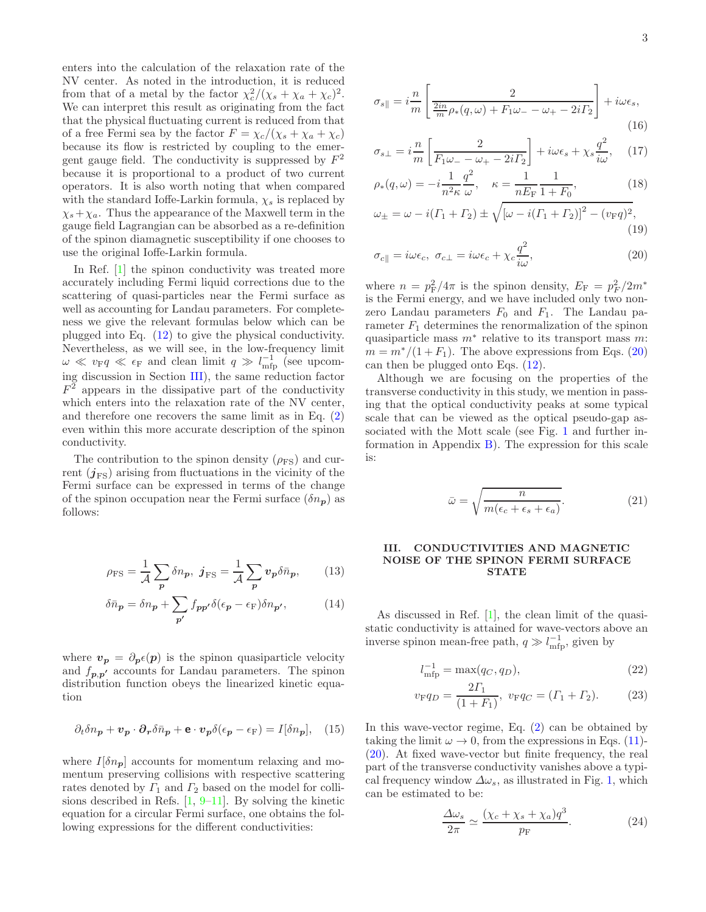enters into the calculation of the relaxation rate of the NV center. As noted in the introduction, it is reduced from that of a metal by the factor  $\chi_c^2/(\chi_s + \chi_a + \chi_c)^2$ . We can interpret this result as originating from the fact that the physical fluctuating current is reduced from that of a free Fermi sea by the factor  $F = \chi_c/(\chi_s + \chi_a + \chi_c)$ because its flow is restricted by coupling to the emergent gauge field. The conductivity is suppressed by  $F^2$ because it is proportional to a product of two current operators. It is also worth noting that when compared with the standard Ioffe-Larkin formula,  $\chi_s$  is replaced by  $\chi_s + \chi_a$ . Thus the appearance of the Maxwell term in the gauge field Lagrangian can be absorbed as a re-definition of the spinon diamagnetic susceptibility if one chooses to use the original Ioffe-Larkin formula.

In Ref. [\[1\]](#page-4-0) the spinon conductivity was treated more accurately including Fermi liquid corrections due to the scattering of quasi-particles near the Fermi surface as well as accounting for Landau parameters. For completeness we give the relevant formulas below which can be plugged into Eq. [\(12\)](#page-1-4) to give the physical conductivity. Nevertheless, as we will see, in the low-frequency limit  $\omega \ll v_{\rm F} q \ll \epsilon_{\rm F}$  and clean limit  $q \gg l_{\rm mfp}^{-1}$  (see upcoming discussion in Section [III\)](#page-2-0), the same reduction factor  $F<sup>2</sup>$  appears in the dissipative part of the conductivity which enters into the relaxation rate of the NV center, and therefore one recovers the same limit as in Eq. [\(2\)](#page-0-2) even within this more accurate description of the spinon conductivity.

The contribution to the spinon density  $(\rho_{FS})$  and current  $(j_{FS})$  arising from fluctuations in the vicinity of the Fermi surface can be expressed in terms of the change of the spinon occupation near the Fermi surface  $(\delta n_{\mathbf{p}})$  as follows:

$$
\rho_{\rm FS} = \frac{1}{\mathcal{A}} \sum_{\mathbf{p}} \delta n_{\mathbf{p}}, \ \ \mathbf{j}_{\rm FS} = \frac{1}{\mathcal{A}} \sum_{\mathbf{p}} v_{\mathbf{p}} \delta \bar{n}_{\mathbf{p}}, \tag{13}
$$

$$
\delta \bar{n}_{\mathbf{p}} = \delta n_{\mathbf{p}} + \sum_{\mathbf{p'}} f_{\mathbf{p}\mathbf{p'}} \delta(\epsilon_{\mathbf{p}} - \epsilon_{\mathbf{F}}) \delta n_{\mathbf{p'}},\tag{14}
$$

where  $v_p = \partial_p \epsilon(p)$  is the spinon quasiparticle velocity and  $f_{p,p'}$  accounts for Landau parameters. The spinon distribution function obeys the linearized kinetic equation

$$
\partial_t \delta n_p + \mathbf{v}_p \cdot \partial_r \delta \bar{n}_p + \mathbf{e} \cdot \mathbf{v}_p \delta(\epsilon_p - \epsilon_F) = I[\delta n_p], \quad (15)
$$

where  $I[\delta n_{p}]$  accounts for momentum relaxing and momentum preserving collisions with respective scattering rates denoted by  $\Gamma_1$  and  $\Gamma_2$  based on the model for collisions described in Refs.  $[1, 9-11]$  $[1, 9-11]$  $[1, 9-11]$ . By solving the kinetic equation for a circular Fermi surface, one obtains the following expressions for the different conductivities:

$$
\sigma_{s\parallel} = i \frac{m}{m} \left[ \frac{2}{\frac{2in}{m} \rho_*(q,\omega) + F_1 \omega_- - \omega_+ - 2i\Gamma_2} \right] + i\omega \epsilon_s,
$$
\n(16)

$$
\sigma_{s\perp} = i\frac{n}{m} \left[ \frac{2}{F_1 \omega_- - \omega_+ - 2i\Gamma_2} \right] + i\omega \epsilon_s + \chi_s \frac{q^2}{i\omega}, \quad (17)
$$

$$
\rho_*(q,\omega) = -i \frac{1}{n^2 \kappa} \frac{q}{\omega}, \quad \kappa = \frac{1}{nE_{\rm F}} \frac{1}{1 + F_0}, \tag{18}
$$

$$
\omega_{\pm} = \omega - i(\Gamma_1 + \Gamma_2) \pm \sqrt{[\omega - i(\Gamma_1 + \Gamma_2)]^2 - (v_{\rm F}q)^2},\tag{19}
$$

<span id="page-2-1"></span>
$$
\sigma_{c\parallel} = i\omega\epsilon_c, \ \sigma_{c\perp} = i\omega\epsilon_c + \chi_c \frac{q^2}{i\omega}, \tag{20}
$$

where  $n = p_{\rm F}^2/4\pi$  is the spinon density,  $E_{\rm F} = p_{\rm F}^2/2m^*$ is the Fermi energy, and we have included only two nonzero Landau parameters  $F_0$  and  $F_1$ . The Landau parameter  $F_1$  determines the renormalization of the spinon quasiparticle mass  $m^*$  relative to its transport mass m:  $m = m^*/(1 + F_1)$ . The above expressions from Eqs. [\(20\)](#page-2-1) can then be plugged onto Eqs. [\(12\)](#page-1-4).

Although we are focusing on the properties of the transverse conductivity in this study, we mention in passing that the optical conductivity peaks at some typical scale that can be viewed as the optical pseudo-gap associated with the Mott scale (see Fig. [1](#page-3-1) and further information in Appendix [B\)](#page-6-0). The expression for this scale is:

$$
\bar{\omega} = \sqrt{\frac{n}{m(\epsilon_c + \epsilon_s + \epsilon_a)}}.\tag{21}
$$

## <span id="page-2-0"></span>III. CONDUCTIVITIES AND MAGNETIC NOISE OF THE SPINON FERMI SURFACE STATE

As discussed in Ref. [\[1](#page-4-0)], the clean limit of the quasistatic conductivity is attained for wave-vectors above an inverse spinon mean-free path,  $q \gg l_{\rm mfp}^{-1}$ , given by

$$
l_{\rm mfp}^{-1} = \max(q_C, q_D),\tag{22}
$$

$$
v_{\rm F}q_D = \frac{2\Gamma_1}{(1+F_1)}, \ v_{\rm F}q_C = (\Gamma_1 + \Gamma_2). \tag{23}
$$

In this wave-vector regime, Eq. [\(2\)](#page-0-2) can be obtained by taking the limit  $\omega \to 0$ , from the expressions in Eqs. [\(11\)](#page-1-5)-[\(20\)](#page-2-1). At fixed wave-vector but finite frequency, the real part of the transverse conductivity vanishes above a typical frequency window  $\Delta \omega_s$ , as illustrated in Fig. [1,](#page-3-1) which can be estimated to be:

$$
\frac{\Delta\omega_s}{2\pi} \simeq \frac{(\chi_c + \chi_s + \chi_a)q^3}{p_{\rm F}}.\tag{24}
$$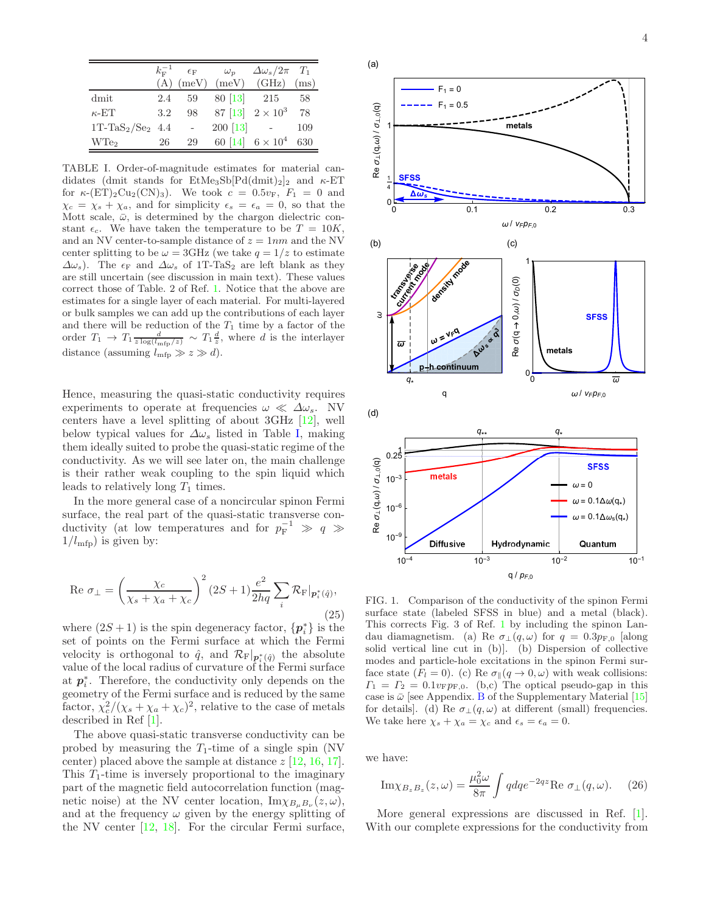|                     |     |        | $k_{\rm F}^{-1}$ $\epsilon_{\rm F}$ $\omega_p$ | $\Delta\omega_s/2\pi$ $T_1$  |     |
|---------------------|-----|--------|------------------------------------------------|------------------------------|-----|
|                     |     |        |                                                | $(A)$ (meV) (meV) (GHz) (ms) |     |
| dmit                |     | 2.4 59 | 80 [13] 215                                    |                              | -58 |
| $\kappa$ -ET        | 3.2 | 98     |                                                | 87 [13] $2 \times 10^3$      | 78  |
| $1T-TaS_2/Se_2$ 4.4 |     |        | $200 \; [13]$ -                                |                              | 109 |
| WT <sub>e2</sub>    | 26  | 29     |                                                | 60 [14] $6 \times 10^4$      | 630 |

<span id="page-3-0"></span>TABLE I. Order-of-magnitude estimates for material candidates (dmit stands for  $\text{EtMe}_3\text{Sb}[\text{Pd}(dmit)_2]_2$  and  $\kappa$ -ET for  $\kappa$ -(ET)<sub>2</sub>Cu<sub>2</sub>(CN)<sub>3</sub>). We took  $c = 0.5v_F$ ,  $F_1 = 0$  and  $\chi_c = \chi_s + \chi_a$ , and for simplicity  $\epsilon_s = \epsilon_a = 0$ , so that the Mott scale,  $\bar{\omega}$ , is determined by the chargon dielectric constant  $\epsilon_c$ . We have taken the temperature to be  $T = 10K$ , and an NV center-to-sample distance of  $z = 1nm$  and the NV center splitting to be  $\omega = 3 \text{GHz}$  (we take  $q = 1/z$  to estimate  $\Delta\omega_s$ ). The  $\epsilon_F$  and  $\Delta\omega_s$  of 1T-TaS<sub>2</sub> are left blank as they are still uncertain (see discussion in main text). These values correct those of Table. 2 of Ref. [1](#page-4-0). Notice that the above are estimates for a single layer of each material. For multi-layered or bulk samples we can add up the contributions of each layer and there will be reduction of the  $T_1$  time by a factor of the order  $T_1 \rightarrow T_1 \frac{d}{z \log(l_{\rm mfp}/z)} \sim T_1 \frac{d}{z}$ , where d is the interlayer distance (assuming  $l_{\text{mfp}} \gg z \gg d$ ).

Hence, measuring the quasi-static conductivity requires experiments to operate at frequencies  $\omega \ll \Delta \omega_s$ . NV centers have a level splitting of about 3GHz [\[12\]](#page-5-9), well below typical values for  $\Delta\omega_s$  listed in Table [I,](#page-3-0) making them ideally suited to probe the quasi-static regime of the conductivity. As we will see later on, the main challenge is their rather weak coupling to the spin liquid which leads to relatively long  $T_1$  times.

In the more general case of a noncircular spinon Fermi surface, the real part of the quasi-static transverse conductivity (at low temperatures and for  $p_{\rm F}^{-1} \gg q \gg$  $1/l_{\text{mfp}}$ ) is given by:

Re 
$$
\sigma_{\perp} = \left(\frac{\chi_c}{\chi_s + \chi_a + \chi_c}\right)^2 (2S + 1) \frac{e^2}{2hq} \sum_i \mathcal{R}_{\mathrm{F}}|_{\mathbf{p}_i^*(\hat{q})},
$$
\n  
\n(25)

where  $(2S+1)$  is the spin degeneracy factor,  $\{p_i^*\}$  is the set of points on the Fermi surface at which the Fermi velocity is orthogonal to  $\hat{q}$ , and  $\mathcal{R}_{\mathbf{F}}|_{\mathbf{p}_{i}^{*}(\hat{q})}$  the absolute value of the local radius of curvature of the Fermi surface at  $p_i^*$ . Therefore, the conductivity only depends on the geometry of the Fermi surface and is reduced by the same factor,  $\chi_c^2/(\chi_s + \chi_a + \chi_c)^2$ , relative to the case of metals described in Ref [\[1\]](#page-4-0).

The above quasi-static transverse conductivity can be probed by measuring the  $T_1$ -time of a single spin (NV) center) placed above the sample at distance  $z$  [\[12](#page-5-9), [16](#page-5-10), [17\]](#page-5-11). This  $T_1$ -time is inversely proportional to the imaginary part of the magnetic field autocorrelation function (magnetic noise) at the NV center location,  $\text{Im}\chi_{B_{\mu}B_{\nu}}(z,\omega)$ , and at the frequency  $\omega$  given by the energy splitting of the NV center [\[12](#page-5-9), [18](#page-5-12)]. For the circular Fermi surface,



<span id="page-3-1"></span>FIG. 1. Comparison of the conductivity of the spinon Fermi surface state (labeled SFSS in blue) and a metal (black). This corrects Fig. 3 of Ref. [1](#page-4-0) by including the spinon Landau diamagnetism. (a) Re  $\sigma_{\perp}(q,\omega)$  for  $q = 0.3p_{F,0}$  [along solid vertical line cut in (b)]. (b) Dispersion of collective modes and particle-hole excitations in the spinon Fermi surface state  $(F_l = 0)$ . (c) Re  $\sigma_{\parallel}(q \to 0, \omega)$  with weak collisions:  $\Gamma_1 = \Gamma_2 = 0.1 v_{\rm F} p_{\rm F,0}$ . (b,c) The optical pseudo-gap in this case is  $\bar{\omega}$  [see Appendix. [B](#page-6-0) of the Supplementary Material [\[15](#page-5-13)] for details]. (d) Re  $\sigma_{\perp}(q,\omega)$  at different (small) frequencies. We take here  $\chi_s + \chi_a = \chi_c$  and  $\epsilon_s = \epsilon_a = 0$ .

we have:

$$
\mathrm{Im}\chi_{B_zB_z}(z,\omega) = \frac{\mu_0^2 \omega}{8\pi} \int q dq e^{-2qz} \mathrm{Re} \sigma_{\perp}(q,\omega). \quad (26)
$$

More general expressions are discussed in Ref. [\[1\]](#page-4-0). With our complete expressions for the conductivity from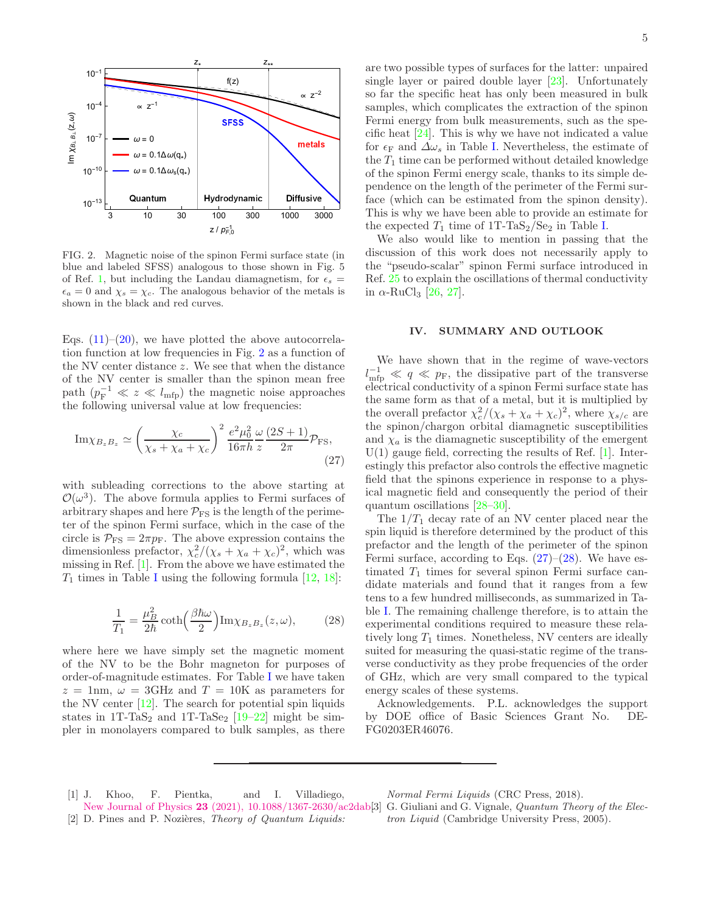

<span id="page-4-3"></span>FIG. 2. Magnetic noise of the spinon Fermi surface state (in blue and labeled SFSS) analogous to those shown in Fig. 5 of Ref. [1](#page-4-0), but including the Landau diamagnetism, for  $\epsilon_s =$  $\epsilon_a = 0$  and  $\chi_s = \chi_c$ . The analogous behavior of the metals is shown in the black and red curves.

Eqs.  $(11)$ – $(20)$ , we have plotted the above autocorrelation function at low frequencies in Fig. [2](#page-4-3) as a function of the NV center distance z. We see that when the distance of the NV center is smaller than the spinon mean free path  $(p_{\rm F}^{-1} \ll z \ll l_{\rm mfp})$  the magnetic noise approaches the following universal value at low frequencies:

$$
\mathrm{Im}\chi_{B_zB_z} \simeq \left(\frac{\chi_c}{\chi_s + \chi_a + \chi_c}\right)^2 \frac{e^2 \mu_0^2}{16\pi h} \frac{\omega}{z} \frac{(2S+1)}{2\pi} \mathcal{P}_{\mathrm{FS}},\tag{27}
$$

with subleading corrections to the above starting at  $\mathcal{O}(\omega^3)$ . The above formula applies to Fermi surfaces of arbitrary shapes and here  $P_{FS}$  is the length of the perimeter of the spinon Fermi surface, which in the case of the circle is  $\mathcal{P}_{\text{FS}} = 2\pi p_{\text{F}}$ . The above expression contains the dimensionless prefactor,  $\chi_c^2/(\chi_s + \chi_a + \chi_c)^2$ , which was missing in Ref. [\[1\]](#page-4-0). From the above we have estimated the  $T_1$  times in Table [I](#page-3-0) using the following formula  $[12, 18]$  $[12, 18]$ :

$$
\frac{1}{T_1} = \frac{\mu_B^2}{2\hbar} \coth\left(\frac{\beta \hbar \omega}{2}\right) \text{Im}\chi_{B_z B_z}(z,\omega),\tag{28}
$$

where here we have simply set the magnetic moment of the NV to be the Bohr magneton for purposes of order-of-magnitude estimates. For Table [I](#page-3-0) we have taken  $z = 1$ nm,  $\omega = 3$ GHz and  $T = 10$ K as parameters for the NV center [\[12\]](#page-5-9). The search for potential spin liquids states in  $1T$ -TaS<sub>2</sub> and  $1T$ -TaSe<sub>2</sub> [\[19](#page-5-14)[–22](#page-5-15)] might be simpler in monolayers compared to bulk samples, as there

are two possible types of surfaces for the latter: unpaired single layer or paired double layer [\[23\]](#page-5-16). Unfortunately so far the specific heat has only been measured in bulk samples, which complicates the extraction of the spinon Fermi energy from bulk measurements, such as the specific heat [\[24\]](#page-5-17). This is why we have not indicated a value for  $\epsilon_F$  and  $\Delta\omega_s$  in Table [I.](#page-3-0) Nevertheless, the estimate of the  $T_1$  time can be performed without detailed knowledge of the spinon Fermi energy scale, thanks to its simple dependence on the length of the perimeter of the Fermi surface (which can be estimated from the spinon density). This is why we have been able to provide an estimate for the expected  $T_1$  time of 1T-TaS<sub>2</sub>/Se<sub>2</sub> in Table [I.](#page-3-0)

We also would like to mention in passing that the discussion of this work does not necessarily apply to the "pseudo-scalar" spinon Fermi surface introduced in Ref. [25](#page-5-18) to explain the oscillations of thermal conductivity in  $\alpha$ -RuCl<sub>3</sub> [\[26,](#page-5-19) [27\]](#page-5-20).

## IV. SUMMARY AND OUTLOOK

We have shown that in the regime of wave-vectors  $l_{\rm mfp}^{-1} \ll q \ll p_{\rm F}$ , the dissipative part of the transverse electrical conductivity of a spinon Fermi surface state has the same form as that of a metal, but it is multiplied by the overall prefactor  $\chi_c^2/(\chi_s + \chi_a + \chi_c)^2$ , where  $\chi_{s/c}$  are the spinon/chargon orbital diamagnetic susceptibilities and  $\chi_a$  is the diamagnetic susceptibility of the emergent  $U(1)$  gauge field, correcting the results of Ref. [\[1\]](#page-4-0). Interestingly this prefactor also controls the effective magnetic field that the spinons experience in response to a physical magnetic field and consequently the period of their quantum oscillations [\[28](#page-5-21)[–30\]](#page-5-22).

<span id="page-4-4"></span>The  $1/T_1$  decay rate of an NV center placed near the spin liquid is therefore determined by the product of this prefactor and the length of the perimeter of the spinon Fermi surface, according to Eqs.  $(27)-(28)$  $(27)-(28)$ . We have estimated  $T_1$  times for several spinon Fermi surface candidate materials and found that it ranges from a few tens to a few hundred milliseconds, as summarized in Table [I.](#page-3-0) The remaining challenge therefore, is to attain the experimental conditions required to measure these relatively long  $T_1$  times. Nonetheless, NV centers are ideally suited for measuring the quasi-static regime of the transverse conductivity as they probe frequencies of the order of GHz, which are very small compared to the typical energy scales of these systems.

<span id="page-4-5"></span>Acknowledgements. P.L. acknowledges the support by DOE office of Basic Sciences Grant No. DE-FG0203ER46076.

<span id="page-4-1"></span><span id="page-4-0"></span>[1] J. Khoo, F. Pientka, and I. Villadiego, New Journal of Physics 23 [\(2021\), 10.1088/1367-2630/ac2dab.](http://dx.doi.org/10.1088/1367-2630/ac2dab) [2] D. Pines and P. Nozières, *Theory of Quantum Liquids:* 

*Normal Fermi Liquids* (CRC Press, 2018).

<span id="page-4-2"></span><sup>[3]</sup> G. Giuliani and G. Vignale, *Quantum Theory of the Electron Liquid* (Cambridge University Press, 2005).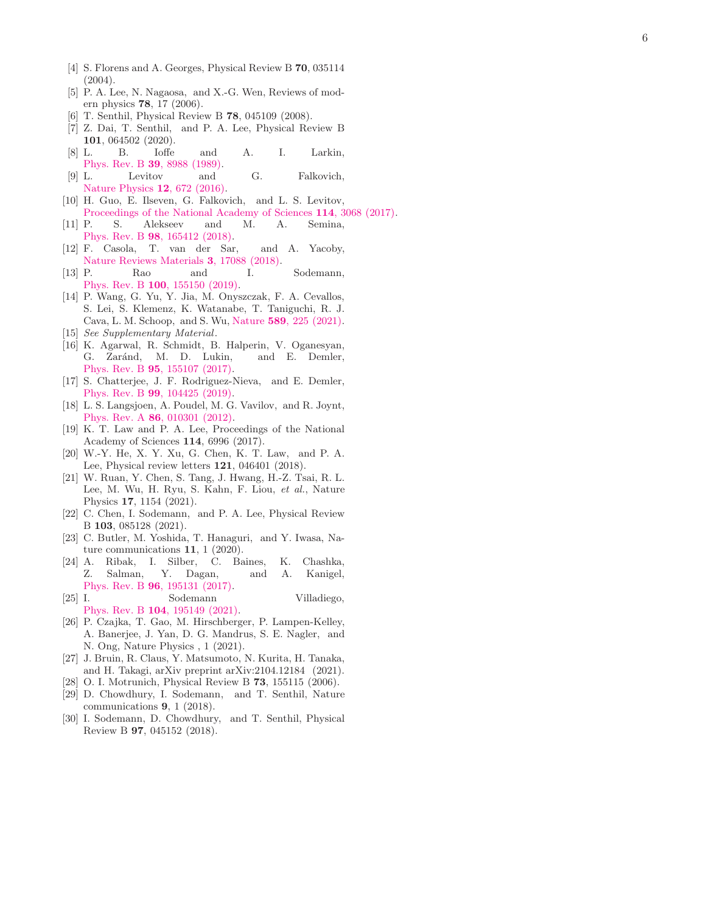- <span id="page-5-0"></span>[4] S. Florens and A. Georges, Physical Review B 70, 035114 (2004).
- <span id="page-5-1"></span>[5] P. A. Lee, N. Nagaosa, and X.-G. Wen, Reviews of modern physics 78, 17 (2006).
- <span id="page-5-2"></span>[6] T. Senthil, Physical Review B 78, 045109 (2008).
- <span id="page-5-3"></span>[7] Z. Dai, T. Senthil, and P. A. Lee, Physical Review B 101, 064502 (2020).<br>[8] L. B. Ioffe
- <span id="page-5-4"></span>B. Ioffe and A. I. Larkin, [Phys. Rev. B](http://dx.doi.org/10.1103/PhysRevB.39.8988) **39**, 8988 (1989).
- <span id="page-5-5"></span>[9] L. Levitov and G. Falkovich, [Nature Physics](https://doi.org/10.1038/nphys3667) **12**, 672 (2016).
- [10] H. Guo, E. Ilseven, G. Falkovich, and L. S. Levitov, [Proceedings of the National Academy of Sciences](http://dx.doi.org/10.1073/pnas.1612181114) 114, 3068 (2017).
- <span id="page-5-6"></span>[11] P. S. Alekseev and M. A. Semina, Phys. Rev. B 98[, 165412 \(2018\)](http://dx.doi.org/10.1103/PhysRevB.98.165412).
- <span id="page-5-9"></span>[12] F. Casola, T. van der Sar, and A. Yacoby, [Nature Reviews Materials](http://dx.doi.org/10.1038/natrevmats.2017.88) 3, 17088 (2018).
- <span id="page-5-7"></span>[13] P. Rao and I. Sodemann, Phys. Rev. B 100[, 155150 \(2019\)](http://dx.doi.org/10.1103/PhysRevB.100.155150).
- <span id="page-5-8"></span>[14] P. Wang, G. Yu, Y. Jia, M. Onyszczak, F. A. Cevallos, S. Lei, S. Klemenz, K. Watanabe, T. Taniguchi, R. J. Cava, L. M. Schoop, and S. Wu, Nature 589[, 225 \(2021\)](http://dx.doi.org/10.1038/s41586-020-03084-9) .
- <span id="page-5-13"></span>[15] *See Supplementary Material* .
- <span id="page-5-10"></span>[16] K. Agarwal, R. Schmidt, B. Halperin, V. Oganesyan, G. Zaránd, M. D. Lukin, Phys. Rev. B **95**[, 155107 \(2017\)](http://dx.doi.org/ 10.1103/PhysRevB.95.155107).
- <span id="page-5-11"></span>[17] S. Chatterjee, J. F. Rodriguez-Nieva, and E. Demler, Phys. Rev. B **99**[, 104425 \(2019\)](http://dx.doi.org/10.1103/PhysRevB.99.104425).
- <span id="page-5-12"></span>[18] L. S. Langsjoen, A. Poudel, M. G. Vavilov, and R. Joynt, Phys. Rev. A **86**[, 010301 \(2012\)](http://dx.doi.org/10.1103/PhysRevA.86.010301).
- <span id="page-5-14"></span>[19] K. T. Law and P. A. Lee, Proceedings of the National Academy of Sciences 114, 6996 (2017).
- [20] W.-Y. He, X. Y. Xu, G. Chen, K. T. Law, and P. A. Lee, Physical review letters 121, 046401 (2018).
- [21] W. Ruan, Y. Chen, S. Tang, J. Hwang, H.-Z. Tsai, R. L. Lee, M. Wu, H. Ryu, S. Kahn, F. Liou, *et al.*, Nature Physics 17, 1154 (2021).
- <span id="page-5-15"></span>[22] C. Chen, I. Sodemann, and P. A. Lee, Physical Review B 103, 085128 (2021).
- <span id="page-5-16"></span>[23] C. Butler, M. Yoshida, T. Hanaguri, and Y. Iwasa, Nature communications 11, 1 (2020).
- <span id="page-5-17"></span>[24] A. Ribak, I. Silber, C. Baines, K. Chashka, Z. Salman, Y. Dagan, and A. Kanigel, Phys. Rev. B **96**[, 195131 \(2017\)](http://dx.doi.org/10.1103/PhysRevB.96.195131).
- <span id="page-5-18"></span>[25] I. Sodemann Villadiego, Phys. Rev. B 104[, 195149 \(2021\)](http://dx.doi.org/10.1103/PhysRevB.104.195149).
- <span id="page-5-19"></span>[26] P. Czajka, T. Gao, M. Hirschberger, P. Lampen-Kelley, A. Banerjee, J. Yan, D. G. Mandrus, S. E. Nagler, and N. Ong, Nature Physics , 1 (2021).
- <span id="page-5-20"></span>[27] J. Bruin, R. Claus, Y. Matsumoto, N. Kurita, H. Tanaka, and H. Takagi, arXiv preprint arXiv:2104.12184 (2021).
- <span id="page-5-21"></span>[28] O. I. Motrunich, Physical Review B 73, 155115 (2006).
- [29] D. Chowdhury, I. Sodemann, and T. Senthil, Nature communications 9, 1 (2018).
- <span id="page-5-22"></span>[30] I. Sodemann, D. Chowdhury, and T. Senthil, Physical Review B 97, 045152 (2018).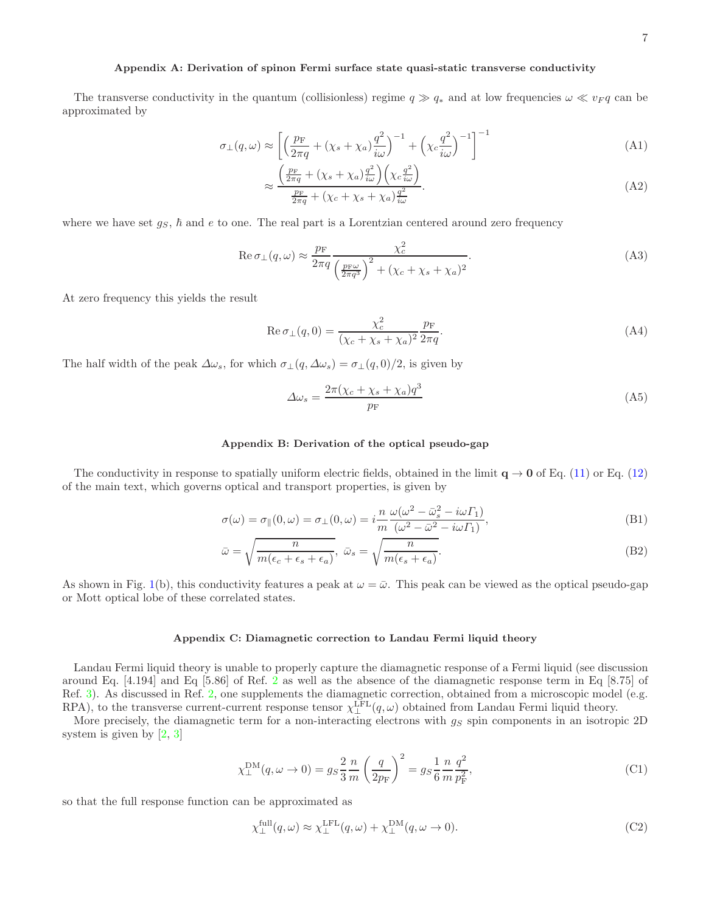#### Appendix A: Derivation of spinon Fermi surface state quasi-static transverse conductivity

The transverse conductivity in the quantum (collisionless) regime  $q \gg q_*$  and at low frequencies  $\omega \ll v_F q$  can be approximated by

$$
\sigma_{\perp}(q,\omega) \approx \left[ \left( \frac{p_{\rm F}}{2\pi q} + (\chi_s + \chi_a) \frac{q^2}{i\omega} \right)^{-1} + \left( \chi_c \frac{q^2}{i\omega} \right)^{-1} \right]^{-1} \tag{A1}
$$

$$
\approx \frac{\left(\frac{p_{\rm F}}{2\pi q} + (\chi_s + \chi_a)\frac{q^2}{i\omega}\right)\left(\chi_c \frac{q^2}{i\omega}\right)}{\frac{p_{\rm F}}{2\pi q} + (\chi_c + \chi_s + \chi_a)\frac{q^2}{i\omega}}.
$$
\n(A2)

where we have set  $g_S$ ,  $\hbar$  and  $e$  to one. The real part is a Lorentzian centered around zero frequency

$$
\operatorname{Re}\sigma_{\perp}(q,\omega) \approx \frac{p_{\rm F}}{2\pi q} \frac{\chi_c^2}{\left(\frac{p_{\rm F}\omega}{2\pi q^3}\right)^2 + (\chi_c + \chi_s + \chi_a)^2}.
$$
\n(A3)

At zero frequency this yields the result

$$
\operatorname{Re}\sigma_{\perp}(q,0) = \frac{\chi_c^2}{(\chi_c + \chi_s + \chi_a)^2} \frac{p_{\rm F}}{2\pi q}.
$$
\n(A4)

The half width of the peak  $\Delta \omega_s$ , for which  $\sigma_{\perp}(q, \Delta \omega_s) = \sigma_{\perp}(q, 0)/2$ , is given by

$$
\Delta\omega_s = \frac{2\pi(\chi_c + \chi_s + \chi_a)q^3}{p_{\rm F}}\tag{A5}
$$

#### <span id="page-6-0"></span>Appendix B: Derivation of the optical pseudo-gap

The conductivity in response to spatially uniform electric fields, obtained in the limit  $q \to 0$  of Eq. [\(11\)](#page-1-5) or Eq. [\(12\)](#page-1-4) of the main text, which governs optical and transport properties, is given by

$$
\sigma(\omega) = \sigma_{\parallel}(0, \omega) = \sigma_{\perp}(0, \omega) = i \frac{n}{m} \frac{\omega(\omega^2 - \bar{\omega}_s^2 - i\omega \Gamma_1)}{(\omega^2 - \bar{\omega}^2 - i\omega \Gamma_1)},
$$
\n(B1)

$$
\bar{\omega} = \sqrt{\frac{n}{m(\epsilon_c + \epsilon_s + \epsilon_a)}}, \ \bar{\omega}_s = \sqrt{\frac{n}{m(\epsilon_s + \epsilon_a)}}.
$$
\n(B2)

As shown in Fig. [1\(](#page-3-1)b), this conductivity features a peak at  $\omega = \bar{\omega}$ . This peak can be viewed as the optical pseudo-gap or Mott optical lobe of these correlated states.

#### Appendix C: Diamagnetic correction to Landau Fermi liquid theory

Landau Fermi liquid theory is unable to properly capture the diamagnetic response of a Fermi liquid (see discussion around Eq. [4.194] and Eq [5.86] of Ref. [2](#page-4-1) as well as the absence of the diamagnetic response term in Eq [8.75] of Ref. [3\)](#page-4-2). As discussed in Ref. [2,](#page-4-1) one supplements the diamagnetic correction, obtained from a microscopic model (e.g. RPA), to the transverse current-current response tensor  $\chi_{\perp}^{\text{LFL}}(q,\omega)$  obtained from Landau Fermi liquid theory.

More precisely, the diamagnetic term for a non-interacting electrons with  $g_S$  spin components in an isotropic 2D system is given by [\[2,](#page-4-1) [3\]](#page-4-2)

$$
\chi_{\perp}^{\text{DM}}(q,\omega \to 0) = g_S \frac{2}{3} \frac{n}{m} \left(\frac{q}{2p_{\text{F}}}\right)^2 = g_S \frac{1}{6} \frac{n}{m} \frac{q^2}{p_{\text{F}}^2},\tag{C1}
$$

so that the full response function can be approximated as

$$
\chi_{\perp}^{\text{full}}(q,\omega) \approx \chi_{\perp}^{\text{LFL}}(q,\omega) + \chi_{\perp}^{\text{DM}}(q,\omega \to 0). \tag{C2}
$$